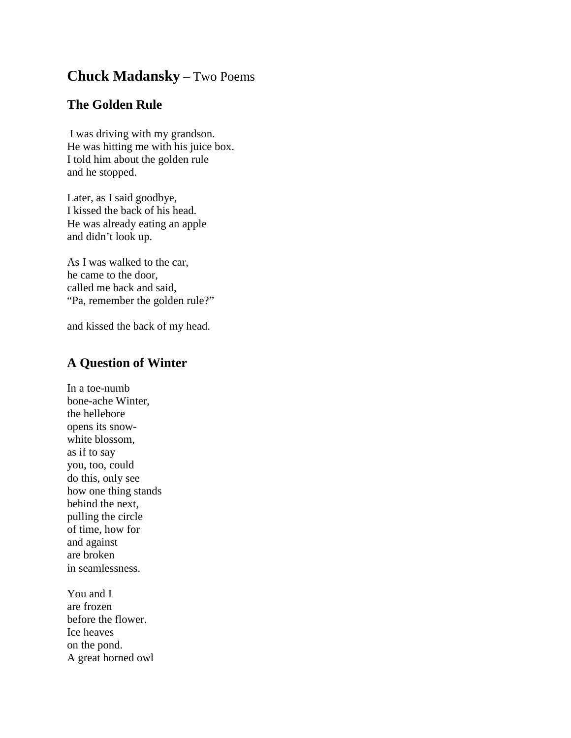## **Chuck Madansky** – Two Poems

## **The Golden Rule**

I was driving with my grandson. He was hitting me with his juice box. I told him about the golden rule and he stopped.

Later, as I said goodbye, I kissed the back of his head. He was already eating an apple and didn't look up.

As I was walked to the car, he came to the door, called me back and said, "Pa, remember the golden rule?"

and kissed the back of my head.

## **A Question of Winter**

In a toe-numb bone-ache Winter, the hellebore opens its snowwhite blossom, as if to say you, too, could do this, only see how one thing stands behind the next, pulling the circle of time, how for and against are broken in seamlessness.

You and I are frozen before the flower. Ice heaves on the pond. A great horned owl